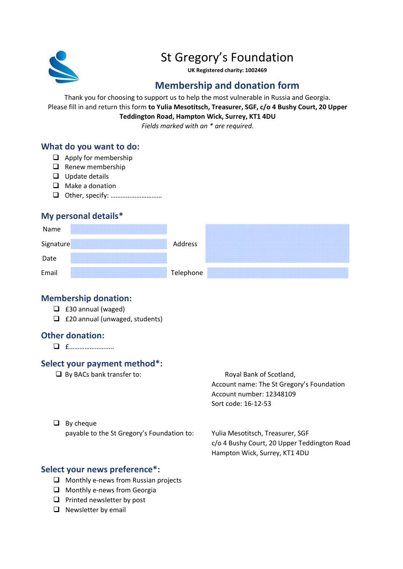

# St Gregory's Foundation

**UK Registered charity: 1002469**

## **Membership and donation form**

Thank you for choosing to support us to help the most vulnerable in Russia and Georgia. Please fill in and return this form **to Yulia Mesotitsch, Treasurer, SGF, c/o 4 Bushy Court, 20 Upper Teddington Road, Hampton Wick, Surrey, KT1 4DU**

*Fields marked with an \* are required.*

## **What do you want to do:**

- ❑ Apply for membership
- ❑ Renew membership
- ❑ Update details
- ❑ Make a donation
- ❑ Other, specify: …………………………

#### **My personal details\***



#### **Membership donation:**

- ❑ £30 annual (waged)
- ❑ £20 annual (unwaged, students)

#### **Other donation:**

❑ £……………………..

## **Select your payment method\*:**

□ By BACs bank transfer to: Royal Bank of Scotland,

Account name: The St Gregory's Foundation Account number: 12348109 Sort code: 16-12-53

❑ By cheque

payable to the St Gregory's Foundation to: Yulia Mesotitsch, Treasurer, SGF

c/o 4 Bushy Court, 20 Upper Teddington Road Hampton Wick, Surrey, KT1 4DU

## **Select your news preference\*:**

- ❑ Monthly e-news from Russian projects
- ❑ Monthly e-news from Georgia
- ❑ Printed newsletter by post
- ❑ Newsletter by email